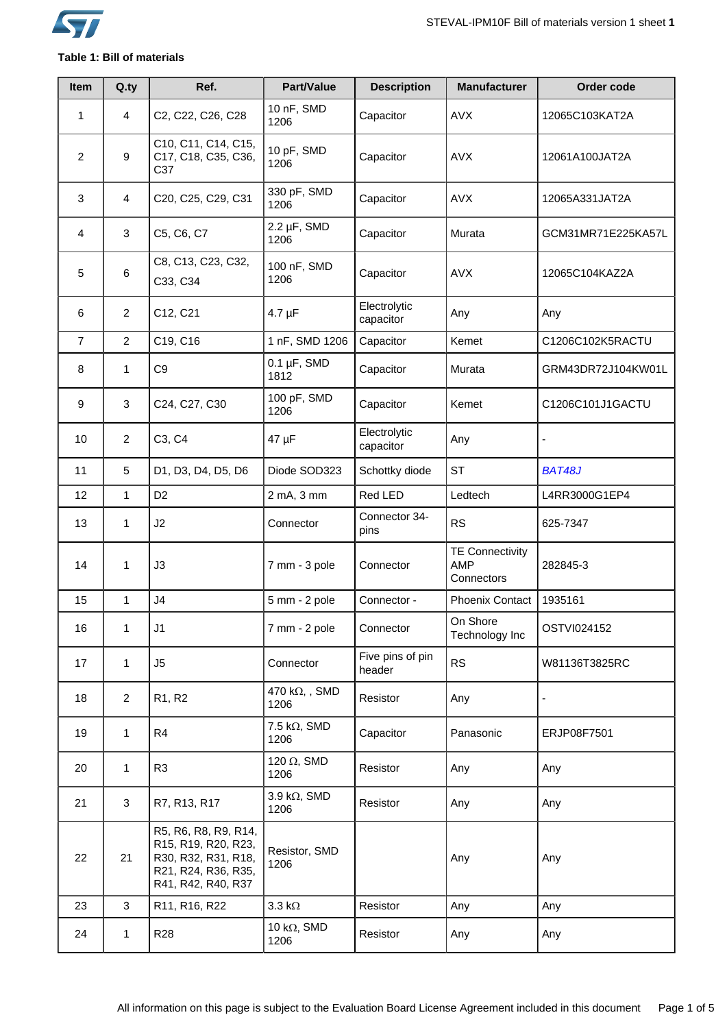

# **Table 1: Bill of materials**

| Item           | Q.ty           | Ref.                                                                                                            | Part/Value                   | <b>Description</b>         | <b>Manufacturer</b>                                | Order code         |
|----------------|----------------|-----------------------------------------------------------------------------------------------------------------|------------------------------|----------------------------|----------------------------------------------------|--------------------|
| 1              | 4              | C2, C22, C26, C28                                                                                               | 10 nF, SMD<br>1206           | Capacitor                  | <b>AVX</b>                                         | 12065C103KAT2A     |
| $\overline{2}$ | 9              | C10, C11, C14, C15,<br>C17, C18, C35, C36,<br>C37                                                               | 10 pF, SMD<br>1206           | Capacitor                  | <b>AVX</b>                                         | 12061A100JAT2A     |
| 3              | 4              | C20, C25, C29, C31                                                                                              | 330 pF, SMD<br>1206          | Capacitor                  | <b>AVX</b>                                         | 12065A331JAT2A     |
| 4              | 3              | C5, C6, C7                                                                                                      | $2.2 \mu F$ , SMD<br>1206    | Capacitor                  | Murata                                             | GCM31MR71E225KA57L |
| 5              | 6              | C8, C13, C23, C32,<br>C33, C34                                                                                  | 100 nF, SMD<br>1206          | Capacitor                  | <b>AVX</b>                                         | 12065C104KAZ2A     |
| 6              | $\overline{2}$ | C12, C21                                                                                                        | $4.7 \mu F$                  | Electrolytic<br>capacitor  | Any                                                | Any                |
| $\overline{7}$ | $\overline{2}$ | C19, C16                                                                                                        | 1 nF, SMD 1206               | Capacitor                  | Kemet                                              | C1206C102K5RACTU   |
| 8              | 1              | C <sub>9</sub>                                                                                                  | $0.1 \mu F$ , SMD<br>1812    | Capacitor                  | Murata                                             | GRM43DR72J104KW01L |
| 9              | 3              | C24, C27, C30                                                                                                   | 100 pF, SMD<br>1206          | Capacitor                  | Kemet                                              | C1206C101J1GACTU   |
| 10             | $\overline{2}$ | C3, C4                                                                                                          | 47 µF                        | Electrolytic<br>capacitor  | Any                                                |                    |
| 11             | 5              | D1, D3, D4, D5, D6                                                                                              | Diode SOD323                 | Schottky diode             | <b>ST</b>                                          | <b>BAT48J</b>      |
| 12             | 1              | D <sub>2</sub>                                                                                                  | 2 mA, 3 mm                   | Red LED                    | Ledtech                                            | L4RR3000G1EP4      |
| 13             | 1              | J2                                                                                                              | Connector                    | Connector 34-<br>pins      | <b>RS</b>                                          | 625-7347           |
| 14             | 1              | J3                                                                                                              | 7 mm - 3 pole                | Connector                  | <b>TE Connectivity</b><br><b>AMP</b><br>Connectors | 282845-3           |
| 15             | $\mathbf{1}$   | J <sub>4</sub>                                                                                                  | 5 mm - 2 pole                | Connector -                | Phoenix Contact                                    | 1935161            |
| 16             | 1              | J1                                                                                                              | 7 mm - 2 pole                | Connector                  | On Shore<br>Technology Inc                         | OSTVI024152        |
| 17             | $\mathbf{1}$   | J <sub>5</sub>                                                                                                  | Connector                    | Five pins of pin<br>header | <b>RS</b>                                          | W81136T3825RC      |
| 18             | $\overline{2}$ | R <sub>1</sub> , R <sub>2</sub>                                                                                 | 470 k $\Omega$ , SMD<br>1206 | Resistor                   | Any                                                |                    |
| 19             | $\mathbf{1}$   | R4                                                                                                              | 7.5 k $\Omega$ , SMD<br>1206 | Capacitor                  | Panasonic                                          | ERJP08F7501        |
| 20             | 1              | R <sub>3</sub>                                                                                                  | 120 $\Omega$ , SMD<br>1206   | Resistor                   | Any                                                | Any                |
| 21             | 3              | R7, R13, R17                                                                                                    | 3.9 k $\Omega$ , SMD<br>1206 | Resistor                   | Any                                                | Any                |
| 22             | 21             | R5, R6, R8, R9, R14,<br>R15, R19, R20, R23,<br>R30, R32, R31, R18,<br>R21, R24, R36, R35,<br>R41, R42, R40, R37 | Resistor, SMD<br>1206        |                            | Any                                                | Any                |
| 23             | 3              | R11, R16, R22                                                                                                   | $3.3 k\Omega$                | Resistor                   | Any                                                | Any                |
| 24             | 1              | R <sub>28</sub>                                                                                                 | 10 k $\Omega$ , SMD<br>1206  | Resistor                   | Any                                                | Any                |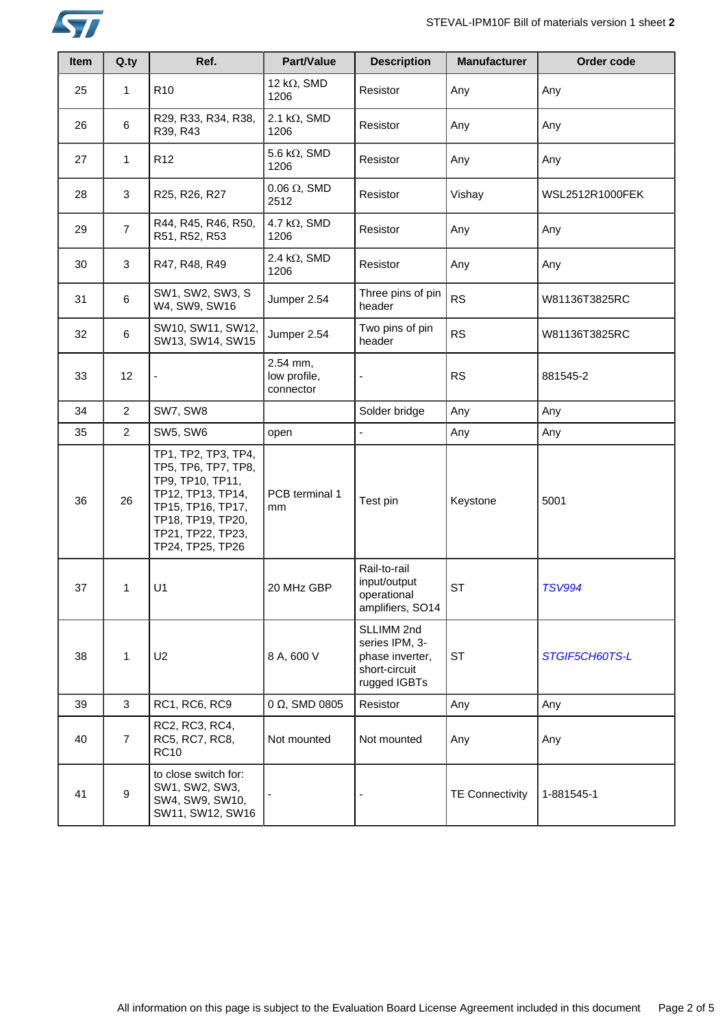

| Item | Q.ty             | Ref.                                                                                                                                                                   | Part/Value                            | <b>Description</b>                                                               | <b>Manufacturer</b>    | Order code      |
|------|------------------|------------------------------------------------------------------------------------------------------------------------------------------------------------------------|---------------------------------------|----------------------------------------------------------------------------------|------------------------|-----------------|
| 25   | 1                | R <sub>10</sub>                                                                                                                                                        | 12 k $\Omega$ , SMD<br>1206           | Resistor                                                                         | Any                    | Any             |
| 26   | 6                | R29, R33, R34, R38,<br>R39, R43                                                                                                                                        | 2.1 k $\Omega$ , SMD<br>1206          | Resistor                                                                         | Any                    | Any             |
| 27   | 1                | R <sub>12</sub>                                                                                                                                                        | 5.6 k $\Omega$ , SMD<br>1206          | Resistor                                                                         | Any                    | Any             |
| 28   | 3                | R25, R26, R27                                                                                                                                                          | $0.06 \Omega$ , SMD<br>2512           | Resistor                                                                         | Vishay                 | WSL2512R1000FEK |
| 29   | $\overline{7}$   | R44, R45, R46, R50,<br>R51, R52, R53                                                                                                                                   | 4.7 k $\Omega$ , SMD<br>1206          | Resistor                                                                         | Any                    | Any             |
| 30   | 3                | R47, R48, R49                                                                                                                                                          | 2.4 k $\Omega$ , SMD<br>1206          | Resistor                                                                         | Any                    | Any             |
| 31   | $\,6\,$          | SW1, SW2, SW3, S<br>W4, SW9, SW16                                                                                                                                      | Jumper 2.54                           | Three pins of pin<br>header                                                      | <b>RS</b>              | W81136T3825RC   |
| 32   | 6                | SW10, SW11, SW12,<br>SW13, SW14, SW15                                                                                                                                  | Jumper 2.54                           | Two pins of pin<br>header                                                        | <b>RS</b>              | W81136T3825RC   |
| 33   | 12               |                                                                                                                                                                        | 2.54 mm,<br>low profile,<br>connector |                                                                                  | <b>RS</b>              | 881545-2        |
| 34   | $\overline{a}$   | SW7, SW8                                                                                                                                                               |                                       | Solder bridge                                                                    | Any                    | Any             |
| 35   | $\overline{a}$   | <b>SW5, SW6</b>                                                                                                                                                        | open                                  | $\overline{a}$                                                                   | Any                    | Any             |
| 36   | 26               | TP1, TP2, TP3, TP4,<br>TP5, TP6, TP7, TP8,<br>TP9, TP10, TP11,<br>TP12, TP13, TP14,<br>TP15, TP16, TP17,<br>TP18, TP19, TP20,<br>TP21, TP22, TP23,<br>TP24, TP25, TP26 | PCB terminal 1<br>mm                  | Test pin                                                                         | Keystone               | 5001            |
| 37   | 1                | U1                                                                                                                                                                     | 20 MHz GBP                            | Rail-to-rail<br>input/output<br>operational<br>amplifiers, SO14                  | <b>ST</b>              | <b>TSV994</b>   |
| 38   | 1                | U <sub>2</sub>                                                                                                                                                         | 8 A, 600 V                            | SLLIMM 2nd<br>series IPM, 3-<br>phase inverter,<br>short-circuit<br>rugged IGBTs | <b>ST</b>              | STGIF5CH60TS-L  |
| 39   | 3                | RC1, RC6, RC9                                                                                                                                                          | 0 Ω, SMD 0805                         | Resistor                                                                         | Any                    | Any             |
| 40   | $\overline{7}$   | RC2, RC3, RC4,<br>RC5, RC7, RC8,<br><b>RC10</b>                                                                                                                        | Not mounted                           | Not mounted                                                                      | Any                    | Any             |
| 41   | $\boldsymbol{9}$ | to close switch for:<br>SW1, SW2, SW3,<br>SW4, SW9, SW10,<br>SW11, SW12, SW16                                                                                          |                                       |                                                                                  | <b>TE Connectivity</b> | 1-881545-1      |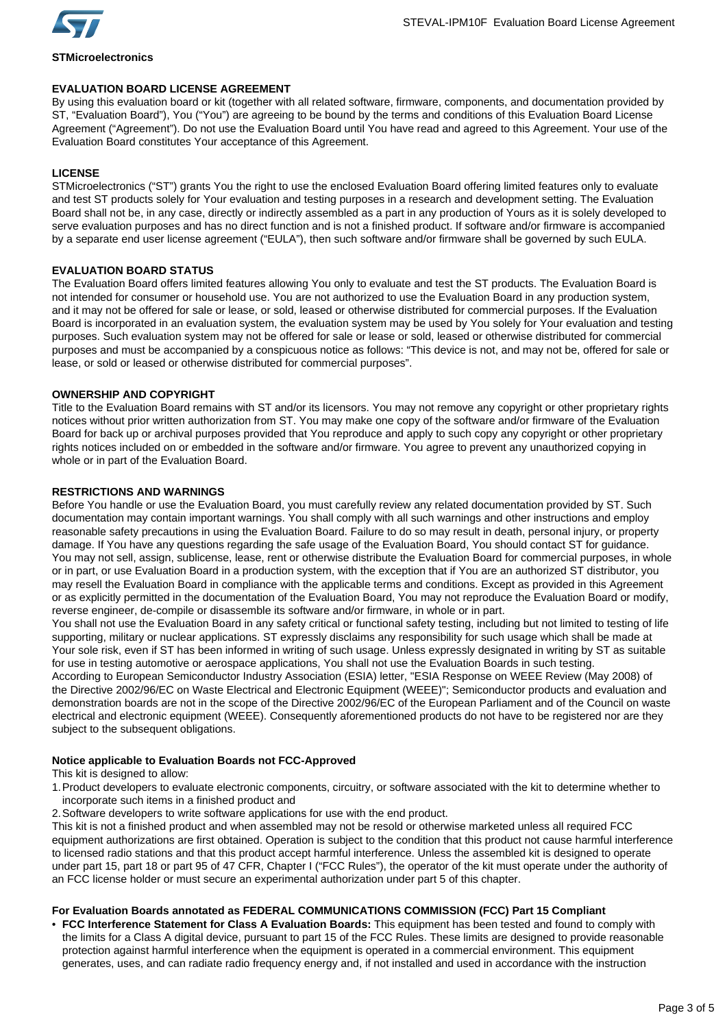

**STMicroelectronics**

# **EVALUATION BOARD LICENSE AGREEMENT**

By using this evaluation board or kit (together with all related software, firmware, components, and documentation provided by ST, "Evaluation Board"), You ("You") are agreeing to be bound by the terms and conditions of this Evaluation Board License Agreement ("Agreement"). Do not use the Evaluation Board until You have read and agreed to this Agreement. Your use of the Evaluation Board constitutes Your acceptance of this Agreement.

# **LICENSE**

STMicroelectronics ("ST") grants You the right to use the enclosed Evaluation Board offering limited features only to evaluate and test ST products solely for Your evaluation and testing purposes in a research and development setting. The Evaluation Board shall not be, in any case, directly or indirectly assembled as a part in any production of Yours as it is solely developed to serve evaluation purposes and has no direct function and is not a finished product. If software and/or firmware is accompanied by a separate end user license agreement ("EULA"), then such software and/or firmware shall be governed by such EULA.

#### **EVALUATION BOARD STATUS**

The Evaluation Board offers limited features allowing You only to evaluate and test the ST products. The Evaluation Board is not intended for consumer or household use. You are not authorized to use the Evaluation Board in any production system, and it may not be offered for sale or lease, or sold, leased or otherwise distributed for commercial purposes. If the Evaluation Board is incorporated in an evaluation system, the evaluation system may be used by You solely for Your evaluation and testing purposes. Such evaluation system may not be offered for sale or lease or sold, leased or otherwise distributed for commercial purposes and must be accompanied by a conspicuous notice as follows: "This device is not, and may not be, offered for sale or lease, or sold or leased or otherwise distributed for commercial purposes".

#### **OWNERSHIP AND COPYRIGHT**

Title to the Evaluation Board remains with ST and/or its licensors. You may not remove any copyright or other proprietary rights notices without prior written authorization from ST. You may make one copy of the software and/or firmware of the Evaluation Board for back up or archival purposes provided that You reproduce and apply to such copy any copyright or other proprietary rights notices included on or embedded in the software and/or firmware. You agree to prevent any unauthorized copying in whole or in part of the Evaluation Board.

#### **RESTRICTIONS AND WARNINGS**

Before You handle or use the Evaluation Board, you must carefully review any related documentation provided by ST. Such documentation may contain important warnings. You shall comply with all such warnings and other instructions and employ reasonable safety precautions in using the Evaluation Board. Failure to do so may result in death, personal injury, or property damage. If You have any questions regarding the safe usage of the Evaluation Board, You should contact ST for guidance. You may not sell, assign, sublicense, lease, rent or otherwise distribute the Evaluation Board for commercial purposes, in whole or in part, or use Evaluation Board in a production system, with the exception that if You are an authorized ST distributor, you may resell the Evaluation Board in compliance with the applicable terms and conditions. Except as provided in this Agreement or as explicitly permitted in the documentation of the Evaluation Board, You may not reproduce the Evaluation Board or modify, reverse engineer, de-compile or disassemble its software and/or firmware, in whole or in part.

You shall not use the Evaluation Board in any safety critical or functional safety testing, including but not limited to testing of life supporting, military or nuclear applications. ST expressly disclaims any responsibility for such usage which shall be made at Your sole risk, even if ST has been informed in writing of such usage. Unless expressly designated in writing by ST as suitable for use in testing automotive or aerospace applications, You shall not use the Evaluation Boards in such testing.

According to European Semiconductor Industry Association (ESIA) letter, "ESIA Response on WEEE Review (May 2008) of the Directive 2002/96/EC on Waste Electrical and Electronic Equipment (WEEE)"; Semiconductor products and evaluation and demonstration boards are not in the scope of the Directive 2002/96/EC of the European Parliament and of the Council on waste electrical and electronic equipment (WEEE). Consequently aforementioned products do not have to be registered nor are they subject to the subsequent obligations.

#### **Notice applicable to Evaluation Boards not FCC-Approved**

This kit is designed to allow:

- 1.Product developers to evaluate electronic components, circuitry, or software associated with the kit to determine whether to incorporate such items in a finished product and
- 2.Software developers to write software applications for use with the end product.

This kit is not a finished product and when assembled may not be resold or otherwise marketed unless all required FCC equipment authorizations are first obtained. Operation is subject to the condition that this product not cause harmful interference to licensed radio stations and that this product accept harmful interference. Unless the assembled kit is designed to operate under part 15, part 18 or part 95 of 47 CFR, Chapter I ("FCC Rules"), the operator of the kit must operate under the authority of an FCC license holder or must secure an experimental authorization under part 5 of this chapter.

# **For Evaluation Boards annotated as FEDERAL COMMUNICATIONS COMMISSION (FCC) Part 15 Compliant**

• **FCC Interference Statement for Class A Evaluation Boards:** This equipment has been tested and found to comply with the limits for a Class A digital device, pursuant to part 15 of the FCC Rules. These limits are designed to provide reasonable protection against harmful interference when the equipment is operated in a commercial environment. This equipment generates, uses, and can radiate radio frequency energy and, if not installed and used in accordance with the instruction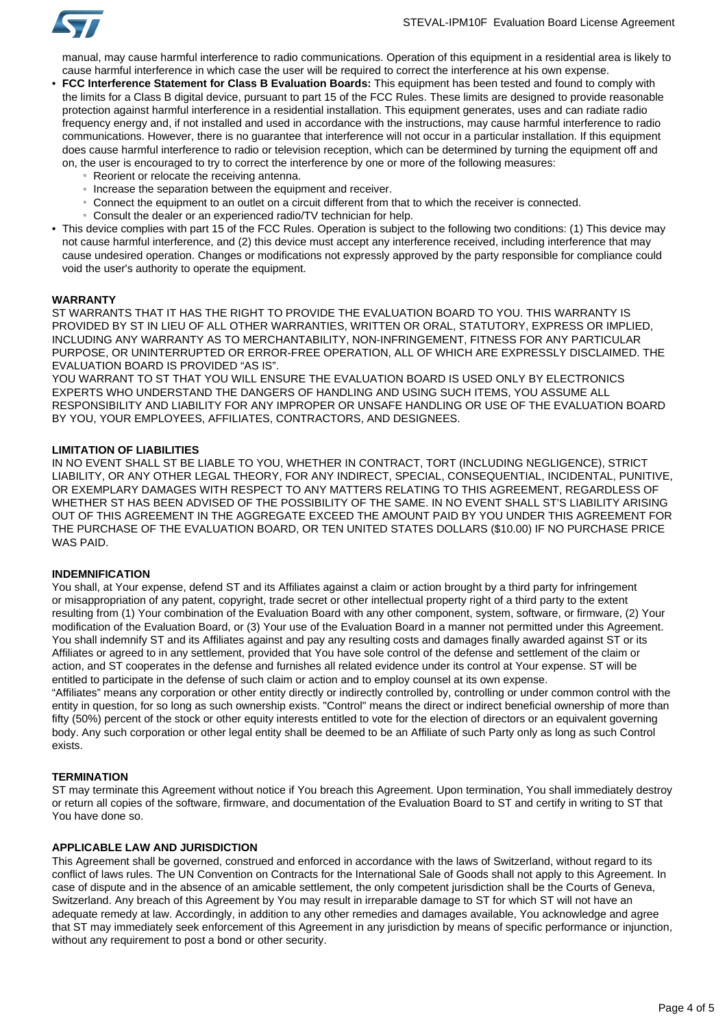

manual, may cause harmful interference to radio communications. Operation of this equipment in a residential area is likely to cause harmful interference in which case the user will be required to correct the interference at his own expense.

- **FCC Interference Statement for Class B Evaluation Boards:** This equipment has been tested and found to comply with the limits for a Class B digital device, pursuant to part 15 of the FCC Rules. These limits are designed to provide reasonable protection against harmful interference in a residential installation. This equipment generates, uses and can radiate radio frequency energy and, if not installed and used in accordance with the instructions, may cause harmful interference to radio communications. However, there is no guarantee that interference will not occur in a particular installation. If this equipment does cause harmful interference to radio or television reception, which can be determined by turning the equipment off and on, the user is encouraged to try to correct the interference by one or more of the following measures:
	- Reorient or relocate the receiving antenna.
	- Increase the separation between the equipment and receiver.
	- Connect the equipment to an outlet on a circuit different from that to which the receiver is connected.
	- Consult the dealer or an experienced radio/TV technician for help.
- This device complies with part 15 of the FCC Rules. Operation is subject to the following two conditions: (1) This device may not cause harmful interference, and (2) this device must accept any interference received, including interference that may cause undesired operation. Changes or modifications not expressly approved by the party responsible for compliance could void the user's authority to operate the equipment.

#### **WARRANTY**

ST WARRANTS THAT IT HAS THE RIGHT TO PROVIDE THE EVALUATION BOARD TO YOU. THIS WARRANTY IS PROVIDED BY ST IN LIEU OF ALL OTHER WARRANTIES, WRITTEN OR ORAL, STATUTORY, EXPRESS OR IMPLIED, INCLUDING ANY WARRANTY AS TO MERCHANTABILITY, NON-INFRINGEMENT, FITNESS FOR ANY PARTICULAR PURPOSE, OR UNINTERRUPTED OR ERROR-FREE OPERATION, ALL OF WHICH ARE EXPRESSLY DISCLAIMED. THE EVALUATION BOARD IS PROVIDED "AS IS".

YOU WARRANT TO ST THAT YOU WILL ENSURE THE EVALUATION BOARD IS USED ONLY BY ELECTRONICS EXPERTS WHO UNDERSTAND THE DANGERS OF HANDLING AND USING SUCH ITEMS, YOU ASSUME ALL RESPONSIBILITY AND LIABILITY FOR ANY IMPROPER OR UNSAFE HANDLING OR USE OF THE EVALUATION BOARD BY YOU, YOUR EMPLOYEES, AFFILIATES, CONTRACTORS, AND DESIGNEES.

#### **LIMITATION OF LIABILITIES**

IN NO EVENT SHALL ST BE LIABLE TO YOU, WHETHER IN CONTRACT, TORT (INCLUDING NEGLIGENCE), STRICT LIABILITY, OR ANY OTHER LEGAL THEORY, FOR ANY INDIRECT, SPECIAL, CONSEQUENTIAL, INCIDENTAL, PUNITIVE, OR EXEMPLARY DAMAGES WITH RESPECT TO ANY MATTERS RELATING TO THIS AGREEMENT, REGARDLESS OF WHETHER ST HAS BEEN ADVISED OF THE POSSIBILITY OF THE SAME. IN NO EVENT SHALL ST'S LIABILITY ARISING OUT OF THIS AGREEMENT IN THE AGGREGATE EXCEED THE AMOUNT PAID BY YOU UNDER THIS AGREEMENT FOR THE PURCHASE OF THE EVALUATION BOARD, OR TEN UNITED STATES DOLLARS (\$10.00) IF NO PURCHASE PRICE WAS PAID.

#### **INDEMNIFICATION**

You shall, at Your expense, defend ST and its Affiliates against a claim or action brought by a third party for infringement or misappropriation of any patent, copyright, trade secret or other intellectual property right of a third party to the extent resulting from (1) Your combination of the Evaluation Board with any other component, system, software, or firmware, (2) Your modification of the Evaluation Board, or (3) Your use of the Evaluation Board in a manner not permitted under this Agreement. You shall indemnify ST and its Affiliates against and pay any resulting costs and damages finally awarded against ST or its Affiliates or agreed to in any settlement, provided that You have sole control of the defense and settlement of the claim or action, and ST cooperates in the defense and furnishes all related evidence under its control at Your expense. ST will be entitled to participate in the defense of such claim or action and to employ counsel at its own expense.

"Affiliates" means any corporation or other entity directly or indirectly controlled by, controlling or under common control with the entity in question, for so long as such ownership exists. "Control" means the direct or indirect beneficial ownership of more than fifty (50%) percent of the stock or other equity interests entitled to vote for the election of directors or an equivalent governing body. Any such corporation or other legal entity shall be deemed to be an Affiliate of such Party only as long as such Control exists.

#### **TERMINATION**

ST may terminate this Agreement without notice if You breach this Agreement. Upon termination, You shall immediately destroy or return all copies of the software, firmware, and documentation of the Evaluation Board to ST and certify in writing to ST that You have done so.

# **APPLICABLE LAW AND JURISDICTION**

This Agreement shall be governed, construed and enforced in accordance with the laws of Switzerland, without regard to its conflict of laws rules. The UN Convention on Contracts for the International Sale of Goods shall not apply to this Agreement. In case of dispute and in the absence of an amicable settlement, the only competent jurisdiction shall be the Courts of Geneva, Switzerland. Any breach of this Agreement by You may result in irreparable damage to ST for which ST will not have an adequate remedy at law. Accordingly, in addition to any other remedies and damages available, You acknowledge and agree that ST may immediately seek enforcement of this Agreement in any jurisdiction by means of specific performance or injunction, without any requirement to post a bond or other security.